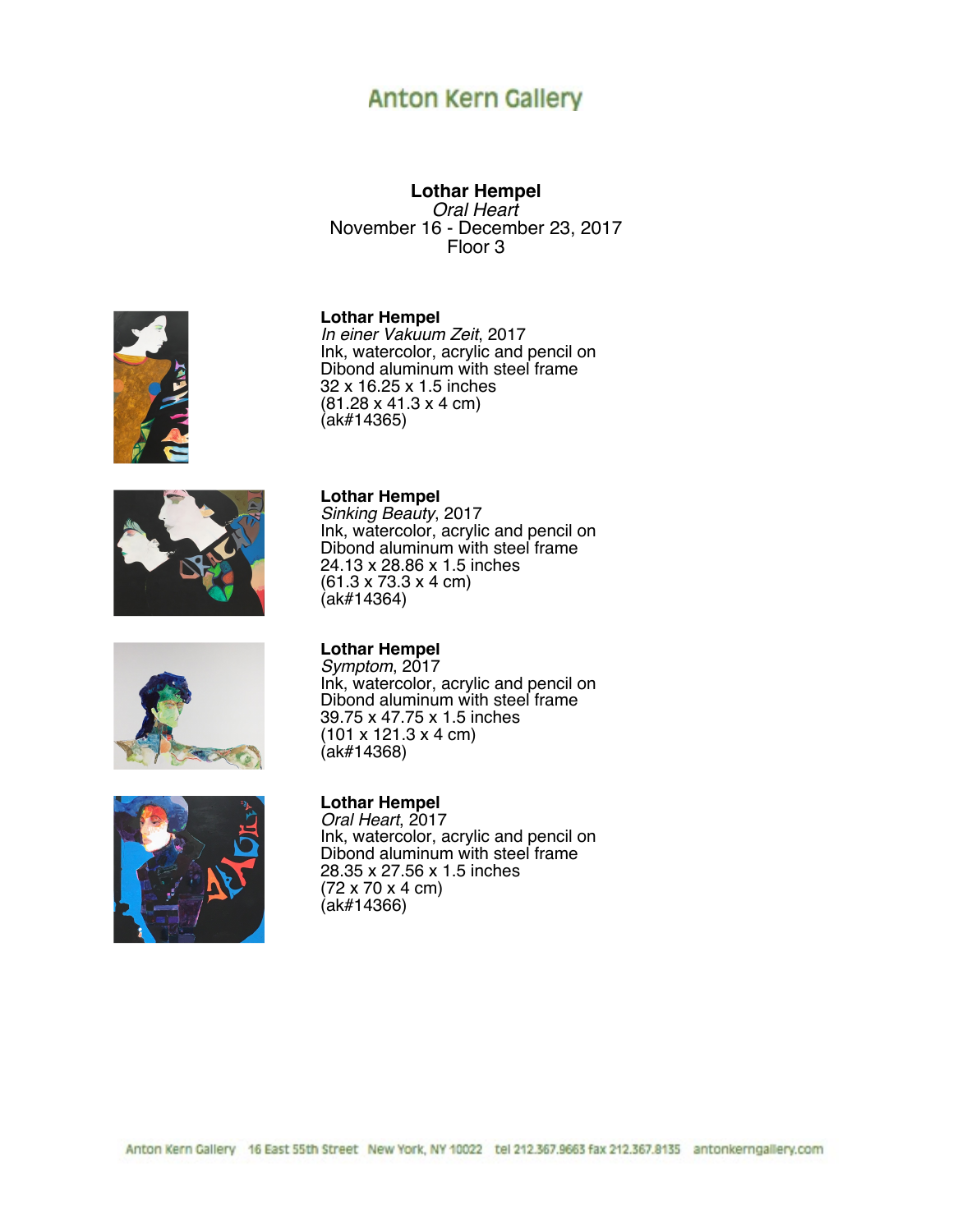# **Anton Kern Gallery**

**Lothar Hempel** *Oral Heart* November 16 - December 23, 2017 Floor 3

#### **Lothar Hempel**

*In einer Vakuum Zeit*, 2017 Ink, watercolor, acrylic and pencil on Dibond aluminum with steel frame 32 x 16.25 x 1.5 inches (81.28 x 41.3 x 4 cm) (ak#14365)

Ink, watercolor, acrylic and pencil on Dibond aluminum with steel frame

24.13 x 28.86 x 1.5 inches (61.3 x 73.3 x 4 cm)









#### **Lothar Hempel**

(ak#14364)

**Lothar Hempel** *Sinking Beauty*, 2017

*Symptom*, 2017 Ink, watercolor, acrylic and pencil on Dibond aluminum with steel frame 39.75 x 47.75 x 1.5 inches (101 x 121.3 x 4 cm) (ak#14368)

#### **Lothar Hempel**

*Oral Heart*, 2017 Ink, watercolor, acrylic and pencil on Dibond aluminum with steel frame 28.35 x 27.56 x 1.5 inches (72 x 70 x 4 cm) (ak#14366)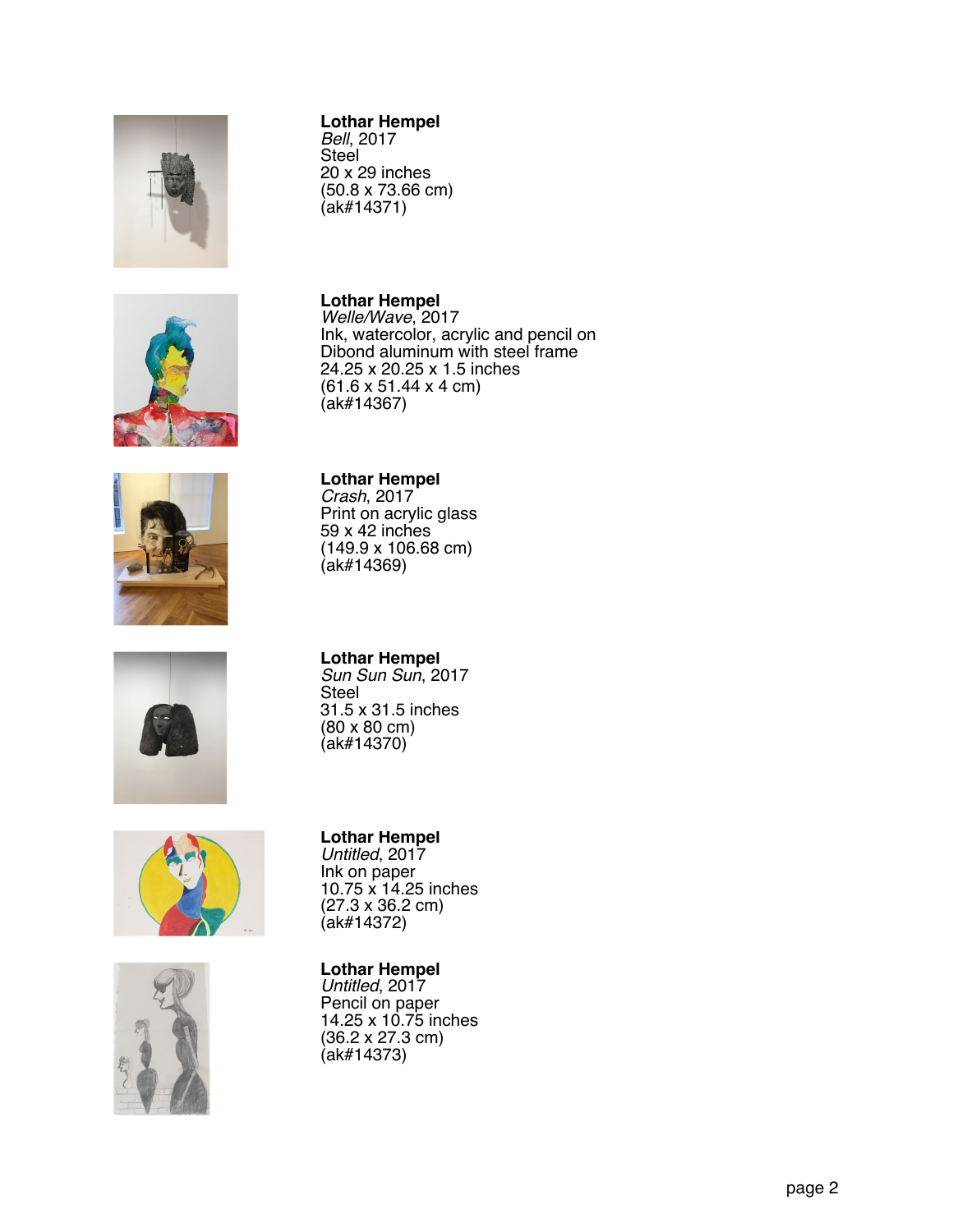

## **Lothar Hempel**

*Bell*, 2017 Steel 20 x 29 inches (50.8 x 73.66 cm) (ak#14371)











# **Lothar Hempel**

*Welle/Wave*, 2017 Ink, watercolor, acrylic and pencil on Dibond aluminum with steel frame 24.25 x 20.25 x 1.5 inches (61.6 x 51.44 x 4 cm) (ak#14367)

### **Lothar Hempel**

*Crash*, 2017 Print on acrylic glass 59 x 42 inches (149.9 x 106.68 cm) (ak#14369)

# **Lothar Hempel**

*Sun Sun Sun*, 2017 Steel 31.5 x 31.5 inches (80 x 80 cm) (ak#14370)

### **Lothar Hempel**

*Untitled*, 2017 Ink on paper 10.75 x 14.25 inches (27.3 x 36.2 cm) (ak#14372)

### **Lothar Hempel**

*Untitled*, 2017 Pencil on paper 14.25 x 10.75 inches (36.2 x 27.3 cm) (ak#14373)